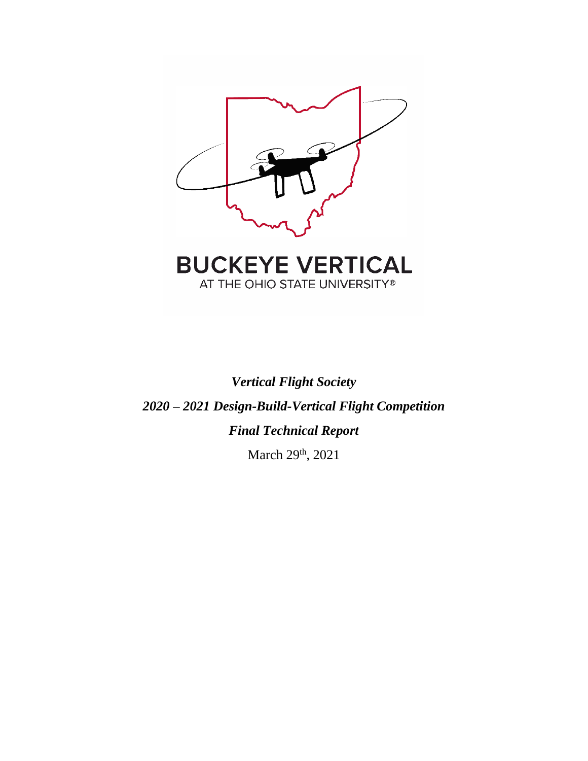

AT THE OHIO STATE UNIVERSITY®

# *Vertical Flight Society 2020 – 2021 Design-Build-Vertical Flight Competition Final Technical Report*

March 29<sup>th</sup>, 2021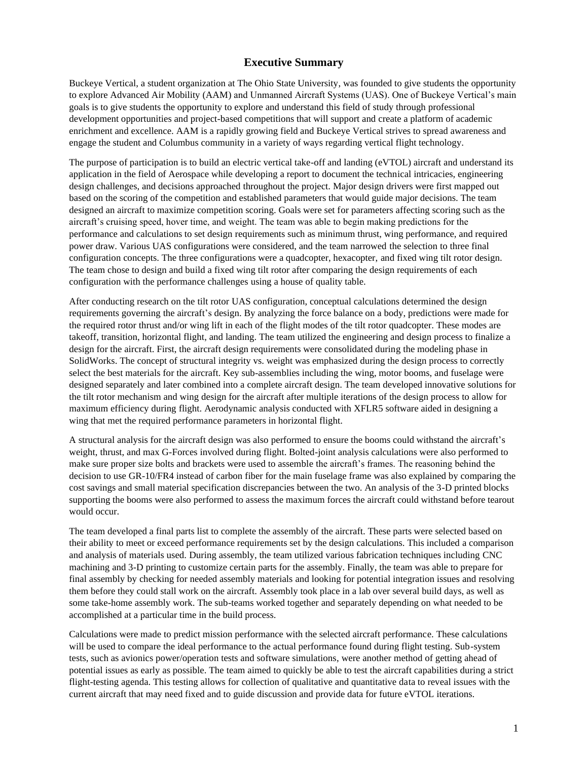# **Executive Summary**

Buckeye Vertical, a student organization at The Ohio State University, was founded to give students the opportunity to explore Advanced Air Mobility (AAM) and Unmanned Aircraft Systems (UAS). One of Buckeye Vertical's main goals is to give students the opportunity to explore and understand this field of study through professional development opportunities and project-based competitions that will support and create a platform of academic enrichment and excellence. AAM is a rapidly growing field and Buckeye Vertical strives to spread awareness and engage the student and Columbus community in a variety of ways regarding vertical flight technology.

The purpose of participation is to build an electric vertical take-off and landing (eVTOL) aircraft and understand its application in the field of Aerospace while developing a report to document the technical intricacies, engineering design challenges, and decisions approached throughout the project. Major design drivers were first mapped out based on the scoring of the competition and established parameters that would guide major decisions. The team designed an aircraft to maximize competition scoring. Goals were set for parameters affecting scoring such as the aircraft's cruising speed, hover time, and weight. The team was able to begin making predictions for the performance and calculations to set design requirements such as minimum thrust, wing performance, and required power draw. Various UAS configurations were considered, and the team narrowed the selection to three final configuration concepts. The three configurations were a quadcopter, hexacopter, and fixed wing tilt rotor design. The team chose to design and build a fixed wing tilt rotor after comparing the design requirements of each configuration with the performance challenges using a house of quality table.

After conducting research on the tilt rotor UAS configuration, conceptual calculations determined the design requirements governing the aircraft's design. By analyzing the force balance on a body, predictions were made for the required rotor thrust and/or wing lift in each of the flight modes of the tilt rotor quadcopter. These modes are takeoff, transition, horizontal flight, and landing. The team utilized the engineering and design process to finalize a design for the aircraft. First, the aircraft design requirements were consolidated during the modeling phase in SolidWorks. The concept of structural integrity vs. weight was emphasized during the design process to correctly select the best materials for the aircraft. Key sub-assemblies including the wing, motor booms, and fuselage were designed separately and later combined into a complete aircraft design. The team developed innovative solutions for the tilt rotor mechanism and wing design for the aircraft after multiple iterations of the design process to allow for maximum efficiency during flight. Aerodynamic analysis conducted with XFLR5 software aided in designing a wing that met the required performance parameters in horizontal flight.

A structural analysis for the aircraft design was also performed to ensure the booms could withstand the aircraft's weight, thrust, and max G-Forces involved during flight. Bolted-joint analysis calculations were also performed to make sure proper size bolts and brackets were used to assemble the aircraft's frames. The reasoning behind the decision to use GR-10/FR4 instead of carbon fiber for the main fuselage frame was also explained by comparing the cost savings and small material specification discrepancies between the two. An analysis of the 3-D printed blocks supporting the booms were also performed to assess the maximum forces the aircraft could withstand before tearout would occur.

The team developed a final parts list to complete the assembly of the aircraft. These parts were selected based on their ability to meet or exceed performance requirements set by the design calculations. This included a comparison and analysis of materials used. During assembly, the team utilized various fabrication techniques including CNC machining and 3-D printing to customize certain parts for the assembly. Finally, the team was able to prepare for final assembly by checking for needed assembly materials and looking for potential integration issues and resolving them before they could stall work on the aircraft. Assembly took place in a lab over several build days, as well as some take-home assembly work. The sub-teams worked together and separately depending on what needed to be accomplished at a particular time in the build process.

Calculations were made to predict mission performance with the selected aircraft performance. These calculations will be used to compare the ideal performance to the actual performance found during flight testing. Sub-system tests, such as avionics power/operation tests and software simulations, were another method of getting ahead of potential issues as early as possible. The team aimed to quickly be able to test the aircraft capabilities during a strict flight-testing agenda. This testing allows for collection of qualitative and quantitative data to reveal issues with the current aircraft that may need fixed and to guide discussion and provide data for future eVTOL iterations.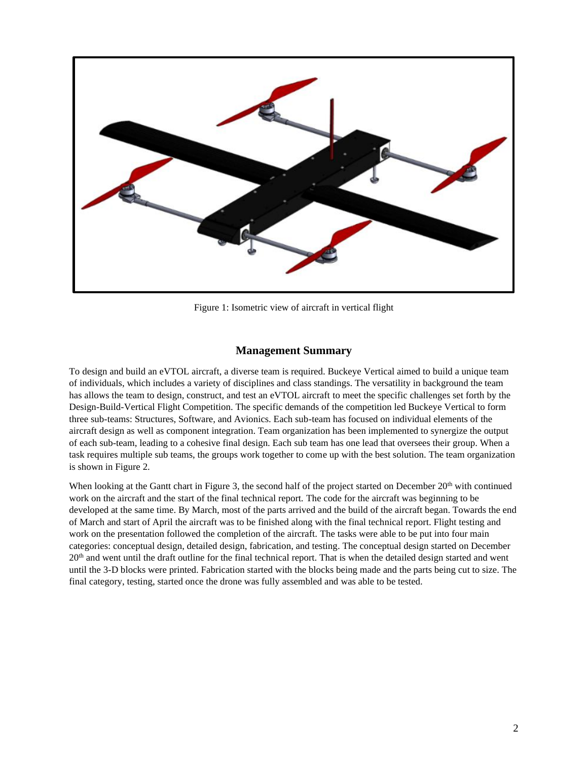

Figure 1: Isometric view of aircraft in vertical flight

## **Management Summary**

To design and build an eVTOL aircraft, a diverse team is required. Buckeye Vertical aimed to build a unique team of individuals, which includes a variety of disciplines and class standings. The versatility in background the team has allows the team to design, construct, and test an eVTOL aircraft to meet the specific challenges set forth by the Design-Build-Vertical Flight Competition. The specific demands of the competition led Buckeye Vertical to form three sub-teams: Structures, Software, and Avionics. Each sub-team has focused on individual elements of the aircraft design as well as component integration. Team organization has been implemented to synergize the output of each sub-team, leading to a cohesive final design. Each sub team has one lead that oversees their group. When a task requires multiple sub teams, the groups work together to come up with the best solution. The team organization is shown in Figure 2.

When looking at the Gantt chart in Figure 3, the second half of the project started on December  $20<sup>th</sup>$  with continued work on the aircraft and the start of the final technical report. The code for the aircraft was beginning to be developed at the same time. By March, most of the parts arrived and the build of the aircraft began. Towards the end of March and start of April the aircraft was to be finished along with the final technical report. Flight testing and work on the presentation followed the completion of the aircraft. The tasks were able to be put into four main categories: conceptual design, detailed design, fabrication, and testing. The conceptual design started on December  $20<sup>th</sup>$  and went until the draft outline for the final technical report. That is when the detailed design started and went until the 3-D blocks were printed. Fabrication started with the blocks being made and the parts being cut to size. The final category, testing, started once the drone was fully assembled and was able to be tested.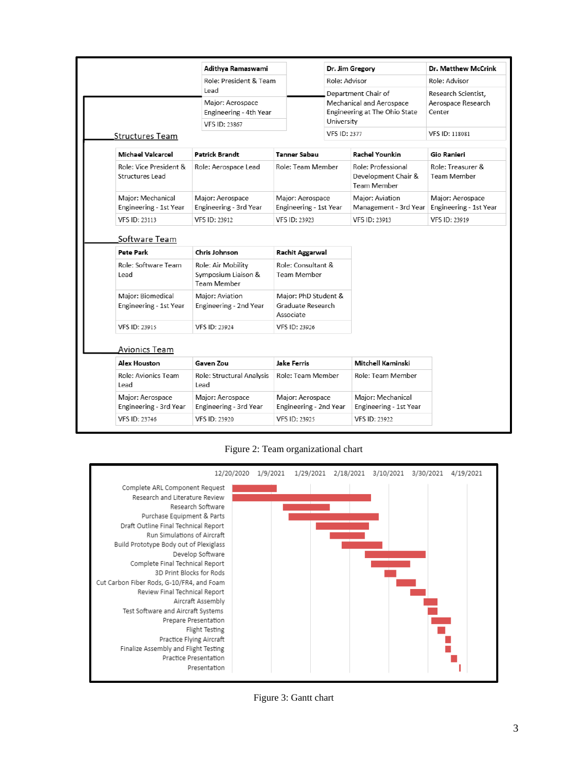|                                             | Adithya Ramaswami                                                          |                                                                    | Dr. Jim Gregory                                                                                | Dr. Matthew McCrink                                 |  |
|---------------------------------------------|----------------------------------------------------------------------------|--------------------------------------------------------------------|------------------------------------------------------------------------------------------------|-----------------------------------------------------|--|
|                                             | Role: President & Team                                                     |                                                                    | Role: Advisor                                                                                  | Role: Advisor                                       |  |
|                                             | Lead<br>Major: Aerospace<br>Engineering - 4th Year<br><b>VFS ID: 23867</b> |                                                                    | Department Chair of<br>Mechanical and Aerospace<br>Engineering at The Ohio State<br>University | Research Scientist,<br>Aerospace Research<br>Center |  |
| <b>Structures Team</b>                      |                                                                            |                                                                    | <b>VFS ID: 2377</b>                                                                            | VFS ID: 118081                                      |  |
|                                             |                                                                            |                                                                    |                                                                                                |                                                     |  |
| <b>Michael Valcarcel</b>                    | <b>Patrick Brandt</b>                                                      | <b>Tanner Sabau</b>                                                | <b>Rachel Younkin</b>                                                                          | Gio Ranieri                                         |  |
| Role: Vice President &<br>Structures Lead   | Role: Aerospace Lead                                                       | Role: Team Member                                                  | Role: Professional<br>Development Chair &<br><b>Team Member</b>                                | Role: Treasurer &<br><b>Team Member</b>             |  |
| Major: Mechanical<br>Engineering - 1st Year | Major: Aerospace<br>Engineering - 3rd Year                                 | Major: Aerospace<br>Engineering - 1st Year                         | Major: Aviation<br>Management - 3rd Year                                                       | Major: Aerospace<br>Engineering - 1st Year          |  |
| <b>VFS ID: 23113</b>                        | VFS ID: 23912                                                              | VFS ID: 23923                                                      | VFS ID: 23913                                                                                  | VFS ID: 23919                                       |  |
| Pete Park<br>Role: Software Team<br>Lead    | Chris Johnson<br>Role: Air Mobility<br>Symposium Liaison &                 | <b>Rachit Aggarwal</b><br>Role: Consultant &<br><b>Team Member</b> |                                                                                                |                                                     |  |
|                                             | <b>Team Member</b>                                                         |                                                                    |                                                                                                |                                                     |  |
| Major: Biomedical<br>Engineering - 1st Year | Major: Aviation<br>Engineering - 2nd Year                                  | Major: PhD Student &<br>Graduate Research<br>Associate             |                                                                                                |                                                     |  |
| <b>VFS ID: 23915</b>                        | <b>VFS ID: 23924</b>                                                       | VFS ID: 23926                                                      |                                                                                                |                                                     |  |
|                                             |                                                                            |                                                                    |                                                                                                |                                                     |  |
| Avionics Team                               |                                                                            |                                                                    |                                                                                                |                                                     |  |
| Alex Houston                                | Gaven Zou                                                                  | Jake Ferris                                                        | Mitchell Kaminski                                                                              |                                                     |  |
| Role: Avionics Team<br>I ead                | Role: Structural Analysis<br>l ead                                         | Role: Team Member                                                  | Role: Team Member                                                                              |                                                     |  |
| Major: Aerospace<br>Engineering - 3rd Year  | Major: Aerospace<br>Engineering - 3rd Year                                 | Major: Aerospace<br>Engineering - 2nd Year                         | Major: Mechanical<br>Engineering - 1st Year                                                    |                                                     |  |
|                                             |                                                                            |                                                                    |                                                                                                |                                                     |  |

Figure 2: Team organizational chart



Figure 3: Gantt chart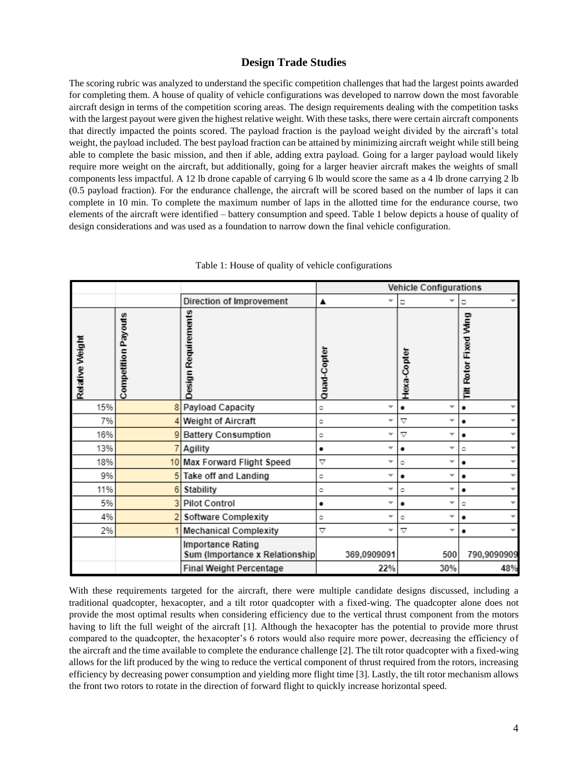# **Design Trade Studies**

The scoring rubric was analyzed to understand the specific competition challenges that had the largest points awarded for completing them. A house of quality of vehicle configurations was developed to narrow down the most favorable aircraft design in terms of the competition scoring areas. The design requirements dealing with the competition tasks with the largest payout were given the highest relative weight. With these tasks, there were certain aircraft components that directly impacted the points scored. The payload fraction is the payload weight divided by the aircraft's total weight, the payload included. The best payload fraction can be attained by minimizing aircraft weight while still being able to complete the basic mission, and then if able, adding extra payload. Going for a larger payload would likely require more weight on the aircraft, but additionally, going for a larger heavier aircraft makes the weights of small components less impactful. A 12 lb drone capable of carrying 6 lb would score the same as a 4 lb drone carrying 2 lb (0.5 payload fraction). For the endurance challenge, the aircraft will be scored based on the number of laps it can complete in 10 min. To complete the maximum number of laps in the allotted time for the endurance course, two elements of the aircraft were identified – battery consumption and speed. Table 1 below depicts a house of quality of design considerations and was used as a foundation to narrow down the final vehicle configuration.

|                 |                            |                                                      | <b>Vehicle Configurations</b> |                                             |                       |  |
|-----------------|----------------------------|------------------------------------------------------|-------------------------------|---------------------------------------------|-----------------------|--|
|                 |                            | Direction of Improvement                             | ▲<br>÷                        | о                                           | □                     |  |
| Relative Weight | <b>Competition Payouts</b> | <b>Design Requirements</b>                           | Quad-Copter                   | Hexa-Copter                                 | Tilt Rotor Fixed Wing |  |
| 15%             | 8                          | Payload Capacity                                     | ٥<br>▼                        | $\overline{\phantom{a}}$<br>٠               | ٠                     |  |
| 7%              |                            | Weight of Aircraft                                   | ÷<br>٥                        | $\triangledown$<br>▼                        | ÷<br>٠                |  |
| 16%             | 9                          | <b>Battery Consumption</b>                           | ÷<br>٥                        | $\triangledown$<br>÷                        | ٠                     |  |
| 13%             |                            | Agility                                              | ▼<br>٠                        | $\overline{\phantom{a}}$<br>٠               | ٥                     |  |
| 18%             |                            | 10 Max Forward Flight Speed                          | $\triangledown$<br>┳          | v<br>٥                                      | ٠                     |  |
| 9%              | 5                          | Take off and Landing                                 | ▼<br>٥                        | v<br>٠                                      | ÷<br>٠                |  |
| 11%             | 6                          | Stability                                            | ÷<br>٥                        | v<br>٥                                      | ٠                     |  |
| 5%              | 3                          | <b>Pilot Control</b>                                 | ▼<br>٠                        | $\overline{\mathbf{v}}$<br>٠                | ٥                     |  |
| 4%              |                            | Software Complexity                                  | v<br>٥                        | $\overline{\phantom{a}}$<br>٥               | ٠                     |  |
| 2%              |                            | <b>Mechanical Complexity</b>                         | $\triangledown$<br>v          | $\triangledown$<br>$\overline{\phantom{a}}$ | ٠                     |  |
|                 |                            | Importance Rating<br>Sum (Importance x Relationship) | 369,0909091                   | 500                                         | 790,9090909           |  |
|                 |                            | Final Weight Percentage                              | 22%                           | 30%                                         | 48%                   |  |

Table 1: House of quality of vehicle configurations

With these requirements targeted for the aircraft, there were multiple candidate designs discussed, including a traditional quadcopter, hexacopter, and a tilt rotor quadcopter with a fixed-wing. The quadcopter alone does not provide the most optimal results when considering efficiency due to the vertical thrust component from the motors having to lift the full weight of the aircraft [1]. Although the hexacopter has the potential to provide more thrust compared to the quadcopter, the hexacopter's 6 rotors would also require more power, decreasing the efficiency of the aircraft and the time available to complete the endurance challenge [2]. The tilt rotor quadcopter with a fixed-wing allows for the lift produced by the wing to reduce the vertical component of thrust required from the rotors, increasing efficiency by decreasing power consumption and yielding more flight time [3]. Lastly, the tilt rotor mechanism allows the front two rotors to rotate in the direction of forward flight to quickly increase horizontal speed.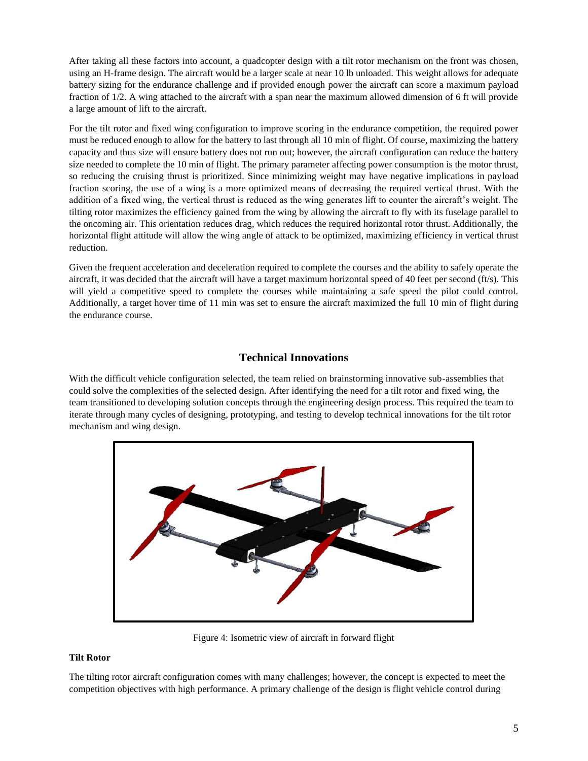After taking all these factors into account, a quadcopter design with a tilt rotor mechanism on the front was chosen, using an H-frame design. The aircraft would be a larger scale at near 10 lb unloaded. This weight allows for adequate battery sizing for the endurance challenge and if provided enough power the aircraft can score a maximum payload fraction of 1/2. A wing attached to the aircraft with a span near the maximum allowed dimension of 6 ft will provide a large amount of lift to the aircraft.

For the tilt rotor and fixed wing configuration to improve scoring in the endurance competition, the required power must be reduced enough to allow for the battery to last through all 10 min of flight. Of course, maximizing the battery capacity and thus size will ensure battery does not run out; however, the aircraft configuration can reduce the battery size needed to complete the 10 min of flight. The primary parameter affecting power consumption is the motor thrust, so reducing the cruising thrust is prioritized. Since minimizing weight may have negative implications in payload fraction scoring, the use of a wing is a more optimized means of decreasing the required vertical thrust. With the addition of a fixed wing, the vertical thrust is reduced as the wing generates lift to counter the aircraft's weight. The tilting rotor maximizes the efficiency gained from the wing by allowing the aircraft to fly with its fuselage parallel to the oncoming air. This orientation reduces drag, which reduces the required horizontal rotor thrust. Additionally, the horizontal flight attitude will allow the wing angle of attack to be optimized, maximizing efficiency in vertical thrust reduction.

Given the frequent acceleration and deceleration required to complete the courses and the ability to safely operate the aircraft, it was decided that the aircraft will have a target maximum horizontal speed of 40 feet per second (ft/s). This will yield a competitive speed to complete the courses while maintaining a safe speed the pilot could control. Additionally, a target hover time of 11 min was set to ensure the aircraft maximized the full 10 min of flight during the endurance course.

# **Technical Innovations**

With the difficult vehicle configuration selected, the team relied on brainstorming innovative sub-assemblies that could solve the complexities of the selected design. After identifying the need for a tilt rotor and fixed wing, the team transitioned to developing solution concepts through the engineering design process. This required the team to iterate through many cycles of designing, prototyping, and testing to develop technical innovations for the tilt rotor mechanism and wing design.



Figure 4: Isometric view of aircraft in forward flight

## **Tilt Rotor**

The tilting rotor aircraft configuration comes with many challenges; however, the concept is expected to meet the competition objectives with high performance. A primary challenge of the design is flight vehicle control during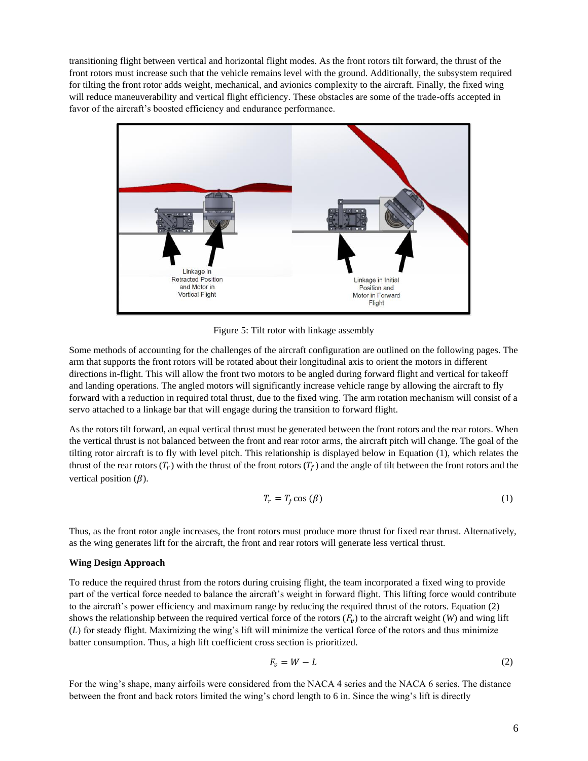transitioning flight between vertical and horizontal flight modes. As the front rotors tilt forward, the thrust of the front rotors must increase such that the vehicle remains level with the ground. Additionally, the subsystem required for tilting the front rotor adds weight, mechanical, and avionics complexity to the aircraft. Finally, the fixed wing will reduce maneuverability and vertical flight efficiency. These obstacles are some of the trade-offs accepted in favor of the aircraft's boosted efficiency and endurance performance.



Figure 5: Tilt rotor with linkage assembly

Some methods of accounting for the challenges of the aircraft configuration are outlined on the following pages. The arm that supports the front rotors will be rotated about their longitudinal axis to orient the motors in different directions in-flight. This will allow the front two motors to be angled during forward flight and vertical for takeoff and landing operations. The angled motors will significantly increase vehicle range by allowing the aircraft to fly forward with a reduction in required total thrust, due to the fixed wing. The arm rotation mechanism will consist of a servo attached to a linkage bar that will engage during the transition to forward flight.

As the rotors tilt forward, an equal vertical thrust must be generated between the front rotors and the rear rotors. When the vertical thrust is not balanced between the front and rear rotor arms, the aircraft pitch will change. The goal of the tilting rotor aircraft is to fly with level pitch. This relationship is displayed below in Equation (1), which relates the thrust of the rear rotors  $(T_r)$  with the thrust of the front rotors  $(T_f)$  and the angle of tilt between the front rotors and the vertical position  $(\beta)$ .

$$
T_r = T_f \cos(\beta) \tag{1}
$$

Thus, as the front rotor angle increases, the front rotors must produce more thrust for fixed rear thrust. Alternatively, as the wing generates lift for the aircraft, the front and rear rotors will generate less vertical thrust.

### **Wing Design Approach**

To reduce the required thrust from the rotors during cruising flight, the team incorporated a fixed wing to provide part of the vertical force needed to balance the aircraft's weight in forward flight. This lifting force would contribute to the aircraft's power efficiency and maximum range by reducing the required thrust of the rotors. Equation (2) shows the relationship between the required vertical force of the rotors  $(F_v)$  to the aircraft weight  $(W)$  and wing lift (*L*) for steady flight. Maximizing the wing's lift will minimize the vertical force of the rotors and thus minimize batter consumption. Thus, a high lift coefficient cross section is prioritized.

$$
F_v = W - L \tag{2}
$$

For the wing's shape, many airfoils were considered from the NACA 4 series and the NACA 6 series. The distance between the front and back rotors limited the wing's chord length to 6 in. Since the wing's lift is directly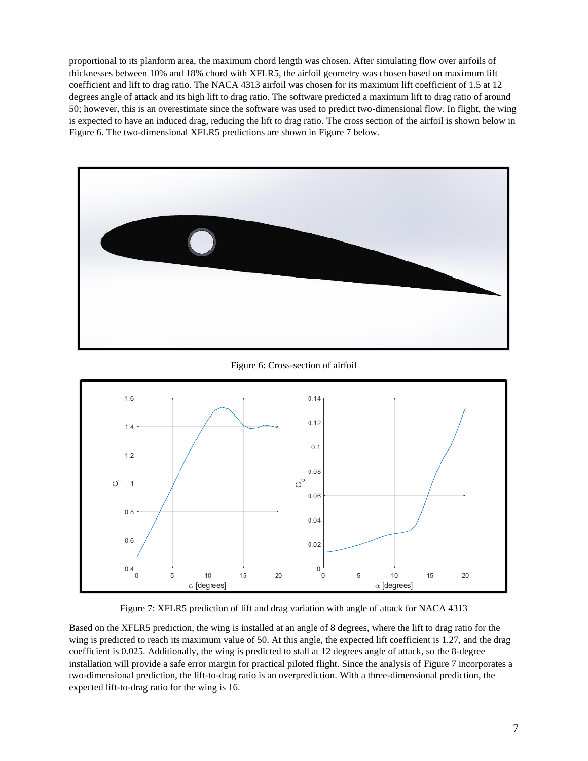proportional to its planform area, the maximum chord length was chosen. After simulating flow over airfoils of thicknesses between 10% and 18% chord with XFLR5, the airfoil geometry was chosen based on maximum lift coefficient and lift to drag ratio. The NACA 4313 airfoil was chosen for its maximum lift coefficient of 1.5 at 12 degrees angle of attack and its high lift to drag ratio. The software predicted a maximum lift to drag ratio of around 50; however, this is an overestimate since the software was used to predict two-dimensional flow. In flight, the wing is expected to have an induced drag, reducing the lift to drag ratio. The cross section of the airfoil is shown below in Figure 6. The two-dimensional XFLR5 predictions are shown in Figure 7 below.



Figure 6: Cross-section of airfoil



Figure 7: XFLR5 prediction of lift and drag variation with angle of attack for NACA 4313

Based on the XFLR5 prediction, the wing is installed at an angle of 8 degrees, where the lift to drag ratio for the wing is predicted to reach its maximum value of 50. At this angle, the expected lift coefficient is 1.27, and the drag coefficient is 0.025. Additionally, the wing is predicted to stall at 12 degrees angle of attack, so the 8-degree installation will provide a safe error margin for practical piloted flight. Since the analysis of Figure 7 incorporates a two-dimensional prediction, the lift-to-drag ratio is an overprediction. With a three-dimensional prediction, the expected lift-to-drag ratio for the wing is 16.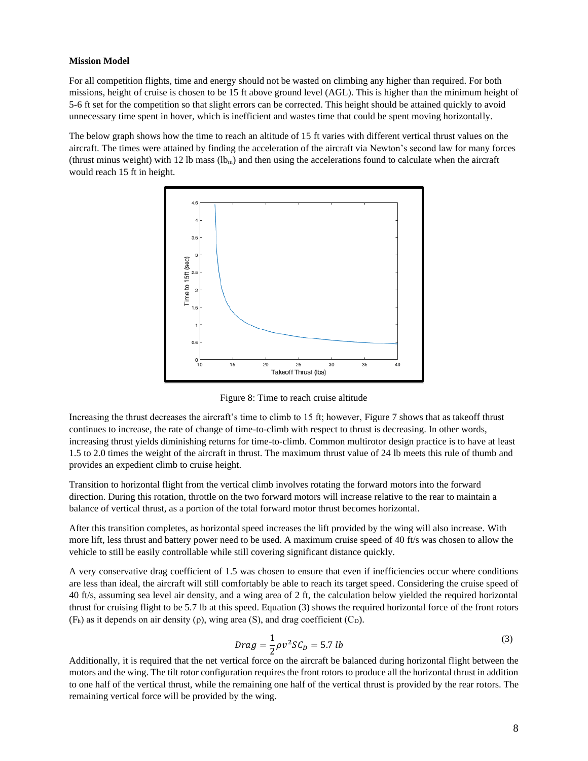#### **Mission Model**

For all competition flights, time and energy should not be wasted on climbing any higher than required. For both missions, height of cruise is chosen to be 15 ft above ground level (AGL). This is higher than the minimum height of 5-6 ft set for the competition so that slight errors can be corrected. This height should be attained quickly to avoid unnecessary time spent in hover, which is inefficient and wastes time that could be spent moving horizontally.

The below graph shows how the time to reach an altitude of 15 ft varies with different vertical thrust values on the aircraft. The times were attained by finding the acceleration of the aircraft via Newton's second law for many forces (thrust minus weight) with 12 lb mass  $(lb_m)$  and then using the accelerations found to calculate when the aircraft would reach 15 ft in height.



Figure 8: Time to reach cruise altitude

Increasing the thrust decreases the aircraft's time to climb to 15 ft; however, Figure 7 shows that as takeoff thrust continues to increase, the rate of change of time-to-climb with respect to thrust is decreasing. In other words, increasing thrust yields diminishing returns for time-to-climb. Common multirotor design practice is to have at least 1.5 to 2.0 times the weight of the aircraft in thrust. The maximum thrust value of 24 lb meets this rule of thumb and provides an expedient climb to cruise height.

Transition to horizontal flight from the vertical climb involves rotating the forward motors into the forward direction. During this rotation, throttle on the two forward motors will increase relative to the rear to maintain a balance of vertical thrust, as a portion of the total forward motor thrust becomes horizontal.

After this transition completes, as horizontal speed increases the lift provided by the wing will also increase. With more lift, less thrust and battery power need to be used. A maximum cruise speed of 40 ft/s was chosen to allow the vehicle to still be easily controllable while still covering significant distance quickly.

A very conservative drag coefficient of 1.5 was chosen to ensure that even if inefficiencies occur where conditions are less than ideal, the aircraft will still comfortably be able to reach its target speed. Considering the cruise speed of 40 ft/s, assuming sea level air density, and a wing area of 2 ft, the calculation below yielded the required horizontal thrust for cruising flight to be 5.7 lb at this speed. Equation (3) shows the required horizontal force of the front rotors  $(F_h)$  as it depends on air density (ρ), wing area (S), and drag coefficient (C<sub>D</sub>).

$$
Drag = \frac{1}{2}\rho v^2 SC_D = 5.7 \, lb \tag{3}
$$

Additionally, it is required that the net vertical force on the aircraft be balanced during horizontal flight between the motors and the wing. The tilt rotor configuration requires the front rotors to produce all the horizontal thrust in addition to one half of the vertical thrust, while the remaining one half of the vertical thrust is provided by the rear rotors. The remaining vertical force will be provided by the wing.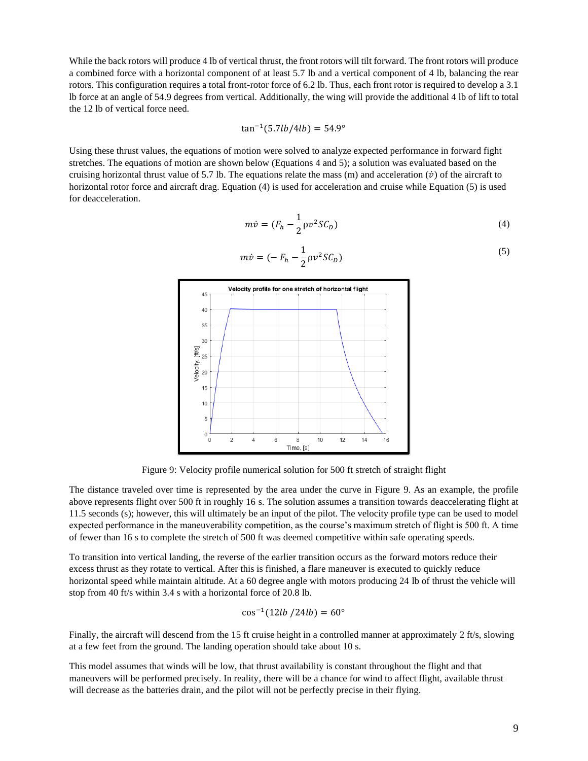While the back rotors will produce 4 lb of vertical thrust, the front rotors will tilt forward. The front rotors will produce a combined force with a horizontal component of at least 5.7 lb and a vertical component of 4 lb, balancing the rear rotors. This configuration requires a total front-rotor force of 6.2 lb. Thus, each front rotor is required to develop a 3.1 lb force at an angle of 54.9 degrees from vertical. Additionally, the wing will provide the additional 4 lb of lift to total the 12 lb of vertical force need.

$$
\tan^{-1}(5.7lb/4lb) = 54.9^{\circ}
$$

Using these thrust values, the equations of motion were solved to analyze expected performance in forward fight stretches. The equations of motion are shown below (Equations 4 and 5); a solution was evaluated based on the cruising horizontal thrust value of 5.7 lb. The equations relate the mass (m) and acceleration ( $\dot{v}$ ) of the aircraft to horizontal rotor force and aircraft drag. Equation (4) is used for acceleration and cruise while Equation (5) is used for deacceleration.

$$
m\dot{v} = (F_h - \frac{1}{2}\rho v^2 S C_D)
$$
\n<sup>(4)</sup>

$$
m\dot{v} = \left(-F_h - \frac{1}{2}\rho v^2 S C_D\right) \tag{5}
$$



Figure 9: Velocity profile numerical solution for 500 ft stretch of straight flight

The distance traveled over time is represented by the area under the curve in Figure 9. As an example, the profile above represents flight over 500 ft in roughly 16 s. The solution assumes a transition towards deaccelerating flight at 11.5 seconds (s); however, this will ultimately be an input of the pilot. The velocity profile type can be used to model expected performance in the maneuverability competition, as the course's maximum stretch of flight is 500 ft. A time of fewer than 16 s to complete the stretch of 500 ft was deemed competitive within safe operating speeds.

To transition into vertical landing, the reverse of the earlier transition occurs as the forward motors reduce their excess thrust as they rotate to vertical. After this is finished, a flare maneuver is executed to quickly reduce horizontal speed while maintain altitude. At a 60 degree angle with motors producing 24 lb of thrust the vehicle will stop from 40 ft/s within 3.4 s with a horizontal force of 20.8 lb.

$$
\cos^{-1}(12lb/24lb) = 60^{\circ}
$$

Finally, the aircraft will descend from the 15 ft cruise height in a controlled manner at approximately 2 ft/s, slowing at a few feet from the ground. The landing operation should take about 10 s.

This model assumes that winds will be low, that thrust availability is constant throughout the flight and that maneuvers will be performed precisely. In reality, there will be a chance for wind to affect flight, available thrust will decrease as the batteries drain, and the pilot will not be perfectly precise in their flying.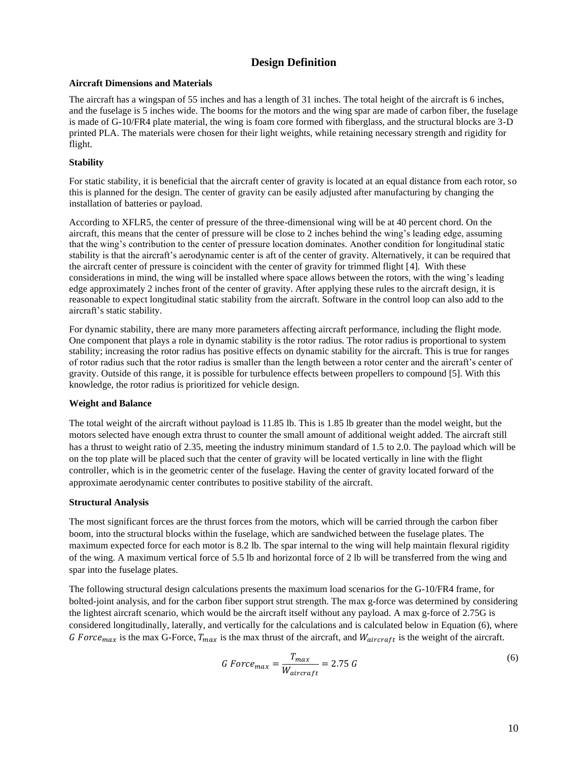# **Design Definition**

#### **Aircraft Dimensions and Materials**

The aircraft has a wingspan of 55 inches and has a length of 31 inches. The total height of the aircraft is 6 inches, and the fuselage is 5 inches wide. The booms for the motors and the wing spar are made of carbon fiber, the fuselage is made of G-10/FR4 plate material, the wing is foam core formed with fiberglass, and the structural blocks are 3-D printed PLA. The materials were chosen for their light weights, while retaining necessary strength and rigidity for flight.

#### **Stability**

For static stability, it is beneficial that the aircraft center of gravity is located at an equal distance from each rotor, so this is planned for the design. The center of gravity can be easily adjusted after manufacturing by changing the installation of batteries or payload.

According to XFLR5, the center of pressure of the three-dimensional wing will be at 40 percent chord. On the aircraft, this means that the center of pressure will be close to 2 inches behind the wing's leading edge, assuming that the wing's contribution to the center of pressure location dominates. Another condition for longitudinal static stability is that the aircraft's aerodynamic center is aft of the center of gravity. Alternatively, it can be required that the aircraft center of pressure is coincident with the center of gravity for trimmed flight [4]. With these considerations in mind, the wing will be installed where space allows between the rotors, with the wing's leading edge approximately 2 inches front of the center of gravity. After applying these rules to the aircraft design, it is reasonable to expect longitudinal static stability from the aircraft. Software in the control loop can also add to the aircraft's static stability.

For dynamic stability, there are many more parameters affecting aircraft performance, including the flight mode. One component that plays a role in dynamic stability is the rotor radius. The rotor radius is proportional to system stability; increasing the rotor radius has positive effects on dynamic stability for the aircraft. This is true for ranges of rotor radius such that the rotor radius is smaller than the length between a rotor center and the aircraft's center of gravity. Outside of this range, it is possible for turbulence effects between propellers to compound [5]. With this knowledge, the rotor radius is prioritized for vehicle design.

### **Weight and Balance**

The total weight of the aircraft without payload is 11.85 lb. This is 1.85 lb greater than the model weight, but the motors selected have enough extra thrust to counter the small amount of additional weight added. The aircraft still has a thrust to weight ratio of 2.35, meeting the industry minimum standard of 1.5 to 2.0. The payload which will be on the top plate will be placed such that the center of gravity will be located vertically in line with the flight controller, which is in the geometric center of the fuselage. Having the center of gravity located forward of the approximate aerodynamic center contributes to positive stability of the aircraft.

### **Structural Analysis**

The most significant forces are the thrust forces from the motors, which will be carried through the carbon fiber boom, into the structural blocks within the fuselage, which are sandwiched between the fuselage plates. The maximum expected force for each motor is 8.2 lb. The spar internal to the wing will help maintain flexural rigidity of the wing. A maximum vertical force of 5.5 lb and horizontal force of 2 lb will be transferred from the wing and spar into the fuselage plates.

The following structural design calculations presents the maximum load scenarios for the G-10/FR4 frame, for bolted-joint analysis, and for the carbon fiber support strut strength. The max g-force was determined by considering the lightest aircraft scenario, which would be the aircraft itself without any payload. A max g-force of 2.75G is considered longitudinally, laterally, and vertically for the calculations and is calculated below in Equation (6), where G Force<sub>max</sub> is the max G-Force,  $T_{max}$  is the max thrust of the aircraft, and  $W_{aircraft}$  is the weight of the aircraft.

$$
G\,Force_{max} = \frac{T_{max}}{W_{aircraft}} = 2.75\,G\tag{6}
$$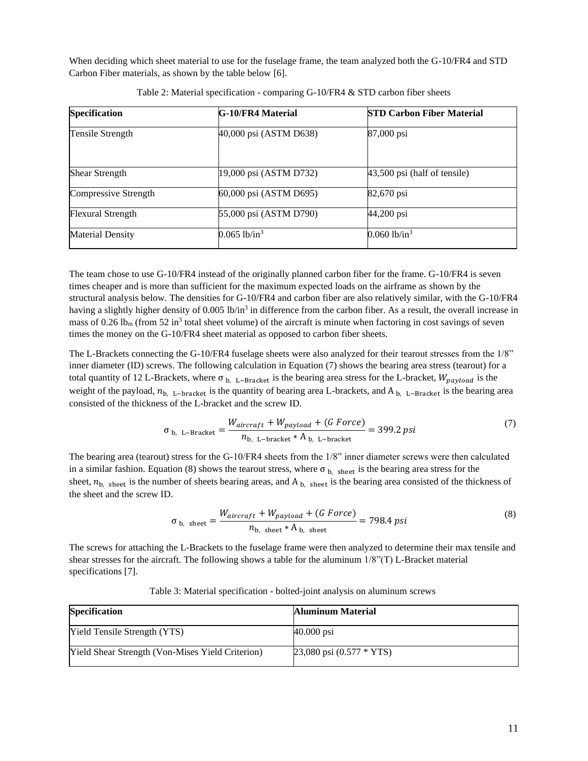When deciding which sheet material to use for the fuselage frame, the team analyzed both the G-10/FR4 and STD Carbon Fiber materials, as shown by the table below [6].

| <b>Specification</b>     | <b>G-10/FR4 Material</b>   | <b>STD Carbon Fiber Material</b> |  |  |  |
|--------------------------|----------------------------|----------------------------------|--|--|--|
| Tensile Strength         | 40,000 psi (ASTM D638)     | 87,000 psi                       |  |  |  |
| <b>Shear Strength</b>    | 19,000 psi (ASTM D732)     | 43,500 psi (half of tensile)     |  |  |  |
| Compressive Strength     | 60,000 psi (ASTM D695)     | 82,670 psi                       |  |  |  |
| <b>Flexural Strength</b> | 55,000 psi (ASTM D790)     | 44,200 psi                       |  |  |  |
| <b>Material Density</b>  | $0.065$ lb/in <sup>3</sup> | $0.060$ lb/in <sup>3</sup>       |  |  |  |

Table 2: Material specification - comparing [G-10/FR4](https://www.cctprecision.com/materials/g10/) & [STD carbon fiber](http://www.performance-composites.com/carbonfibre/mechanicalproperties_2.asp) sheets

The team chose to use G-10/FR4 instead of the originally planned carbon fiber for the frame. G-10/FR4 is seven times cheaper and is more than sufficient for the maximum expected loads on the airframe as shown by the structural analysis below. The densities for G-10/FR4 and carbon fiber are also relatively similar, with the G-10/FR4 having a slightly higher density of 0.005 lb/in<sup>3</sup> in difference from the carbon fiber. As a result, the overall increase in mass of 0.26 lb<sub>m</sub> (from 52 in<sup>3</sup> total sheet volume) of the aircraft is minute when factoring in cost savings of seven times the money on the G-10/FR4 sheet material as opposed to carbon fiber sheets.

The L-Brackets connecting the G-10/FR4 fuselage sheets were also analyzed for their tearout stresses from the 1/8" inner diameter (ID) screws. The following calculation in Equation (7) shows the bearing area stress (tearout) for a total quantity of 12 L-Brackets, where  $\sigma_{b}$ , L–Bracket is the bearing area stress for the L-bracket,  $W_{payload}$  is the weight of the payload,  $n_{b}$ , L−bracket is the quantity of bearing area L-brackets, and A  $_{b}$ , L−Bracket is the bearing area consisted of the thickness of the L-bracket and the screw ID.

$$
\sigma_{b, L-Bracket} = \frac{W_{aircraft} + W_{payload} + (G Force)}{n_{b, L-bracket} * A_{b, L-bracket}} = 399.2 \text{ psi}
$$
 (7)

The bearing area (tearout) stress for the G-10/FR4 sheets from the 1/8" inner diameter screws were then calculated in a similar fashion. Equation (8) shows the tearout stress, where  $\sigma_{b}$ , sheet is the bearing area stress for the sheet,  $n_{b}$ , sheet is the number of sheets bearing areas, and A<sub>b, sheet</sub> is the bearing area consisted of the thickness of the sheet and the screw ID.

$$
\sigma_{b, \text{ sheet}} = \frac{W_{aircraft} + W_{payload} + (G\ Force)}{n_{b, \text{ sheet}} * A_{b, \text{ sheet}}} = 798.4 \text{ psi}
$$
\n(8)

The screws for attaching the L-Brackets to the fuselage frame were then analyzed to determine their max tensile and shear stresses for the aircraft. The following shows a table for the aluminum 1/8"(T) L-Bracket material specifications [7].

| <b>Specification</b>                                    | Aluminum Material                          |
|---------------------------------------------------------|--------------------------------------------|
| <b>Yield Tensile Strength (YTS)</b>                     | $40.000$ psi                               |
| <b>Yield Shear Strength (Von-Mises Yield Criterion)</b> | $23,080 \text{ psi } (0.577 * \text{YTS})$ |

Table 3: Material specification - bolted-joint analysis on aluminum screws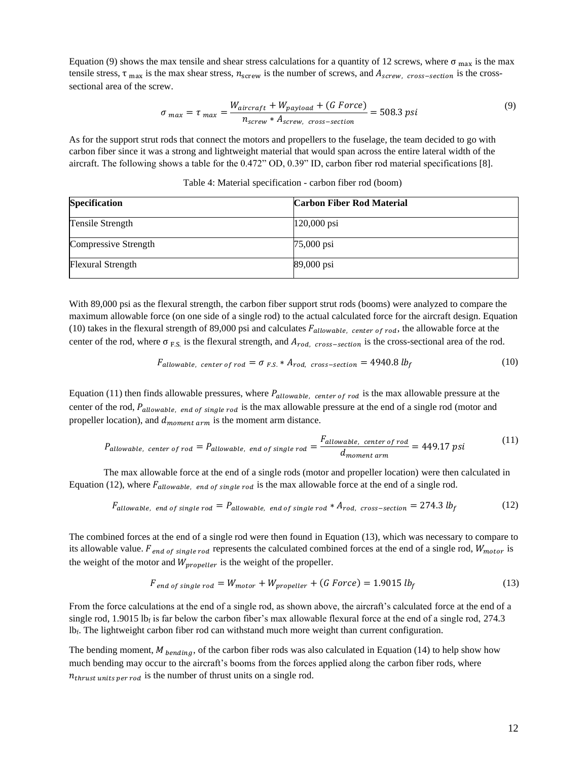Equation (9) shows the max tensile and shear stress calculations for a quantity of 12 screws, where  $\sigma_{\text{max}}$  is the max tensile stress,  $\tau$ <sub>max</sub> is the max shear stress,  $n_{\text{screen}}$  is the number of screws, and  $A_{\text{screen}}$ ,  $_{\text{cross-section}}$  is the crosssectional area of the screw.

$$
\sigma_{max} = \tau_{max} = \frac{W_{aircraft} + W_{payload} + (G Force)}{n_{screen} * A_{screw, cross-section}} = 508.3 \text{ psi}
$$
\n(9)

As for the support strut rods that connect the motors and propellers to the fuselage, the team decided to go with carbon fiber since it was a strong and lightweight material that would span across the entire lateral width of the aircraft. The following shows a table for the 0.472" OD, 0.39" ID, carbon fiber rod material specifications [8].

| <b>Specification</b> | <b>Carbon Fiber Rod Material</b> |
|----------------------|----------------------------------|
| Tensile Strength     | $120,000$ psi                    |
| Compressive Strength | 75,000 psi                       |
| Flexural Strength    | 89,000 psi                       |

Table 4: Material specification - [carbon fiber rod](https://www.mcmaster.com/2153T129/) (boom)

With 89,000 psi as the flexural strength, the carbon fiber support strut rods (booms) were analyzed to compare the maximum allowable force (on one side of a single rod) to the actual calculated force for the aircraft design. Equation (10) takes in the flexural strength of 89,000 psi and calculates  $F_{allowable, center of rod}$ , the allowable force at the center of the rod, where  $\sigma_{F.S.}$  is the flexural strength, and  $A_{rod, cross-section}$  is the cross-sectional area of the rod.

$$
F_{allowable, center of rod} = \sigma_{F.S.} * A_{rod, cross-section} = 4940.8 \, lb_f \tag{10}
$$

Equation (11) then finds allowable pressures, where  $P_{allowable, center of rod}$  is the max allowable pressure at the center of the rod,  $P_{allowable, end of single rod}$  is the max allowable pressure at the end of a single rod (motor and propeller location), and  $d_{moment arm}$  is the moment arm distance.

$$
P_{allowable, center of rod} = P_{allowable, end of single rod} = \frac{F_{allowable, center of rod}}{d_{moment arm}} = 449.17 \text{ psi}
$$
 (11)

The max allowable force at the end of a single rods (motor and propeller location) were then calculated in Equation (12), where  $F_{allowable, end of single rod}$  is the max allowable force at the end of a single rod.

$$
F_{allowable, end of single rod} = P_{allowable, end of single rod} * A_{rod, cross-section} = 274.3 lbf
$$
 (12)

The combined forces at the end of a single rod were then found in Equation (13), which was necessary to compare to its allowable value.  $F_{end of single rod}$  represents the calculated combined forces at the end of a single rod,  $W_{motor}$  is the weight of the motor and  $W_{propeller}$  is the weight of the propeller.

$$
F_{end\ of\ single\ rod} = W_{motor} + W_{propeller} + (G\ Force) = 1.9015\ lb_f
$$
\n
$$
(13)
$$

From the force calculations at the end of a single rod, as shown above, the aircraft's calculated force at the end of a single rod, 1.9015 lb<sub>f</sub> is far below the carbon fiber's max allowable flexural force at the end of a single rod, 274.3 lbf. The lightweight carbon fiber rod can withstand much more weight than current configuration.

The bending moment,  $M_{bending}$ , of the carbon fiber rods was also calculated in Equation (14) to help show how much bending may occur to the aircraft's booms from the forces applied along the carbon fiber rods, where  $n_{thrust units per rod}$  is the number of thrust units on a single rod.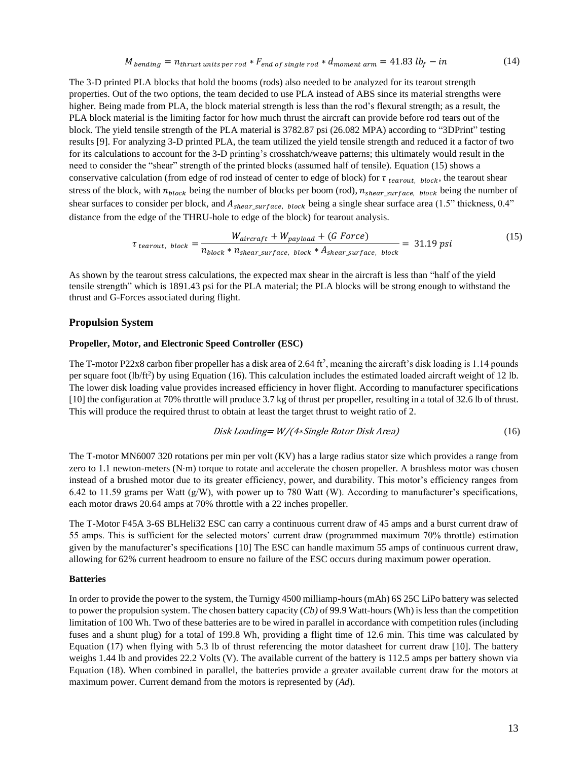$M_{bending} = n_{thrust \ units \ per \ rod} * F_{end \ of \ single \ rod} * d_{moment \ arm} = 41.83 \ lb_f - in$  (14)

The 3-D printed PLA blocks that hold the booms (rods) also needed to be analyzed for its tearout strength properties. Out of the two options, the team decided to use PLA instead of ABS since its material strengths were higher. Being made from PLA, the block material strength is less than the rod's flexural strength; as a result, the PLA block material is the limiting factor for how much thrust the aircraft can provide before rod tears out of the block. The yield tensile strength of the PLA material is 3782.87 psi (26.082 MPA) according to "3DPrint" testing results [9]. For analyzing 3-D printed PLA, the team utilized the yield tensile strength and reduced it a factor of two for its calculations to account for the 3-D printing's crosshatch/weave patterns; this ultimately would result in the need to consider the "shear" strength of the printed blocks (assumed half of tensile). Equation (15) shows a conservative calculation (from edge of rod instead of center to edge of block) for  $\tau_{\text{tearout, block}}$ , the tearout shear stress of the block, with  $n_{block}$  being the number of blocks per boom (rod),  $n_{shear surface}$ , block being the number of shear surfaces to consider per block, and  $A_{shear\_surface}$ , block being a single shear surface area (1.5" thickness, 0.4" distance from the edge of the THRU-hole to edge of the block) for tearout analysis.

$$
\tau_{\text{tearout, block}} = \frac{W_{\text{aircraft}} + W_{\text{payload}} + (G \text{ Force})}{n_{\text{block}} * n_{\text{shear\_surface, block}} * A_{\text{shear\_surface, block}} = 31.19 \text{ psi} \tag{15}
$$

As shown by the tearout stress calculations, the expected max shear in the aircraft is less than "half of the yield tensile strength" which is 1891.43 psi for the PLA material; the PLA blocks will be strong enough to withstand the thrust and G-Forces associated during flight.

#### **Propulsion System**

#### **Propeller, Motor, and Electronic Speed Controller (ESC)**

The T-motor P22x8 carbon fiber propeller has a disk area of 2.64 ft<sup>2</sup>, meaning the aircraft's disk loading is 1.14 pounds per square foot  $(lb/ft^2)$  by using Equation (16). This calculation includes the estimated loaded aircraft weight of 12 lb. The lower disk loading value provides increased efficiency in hover flight. According to manufacturer specifications [10] the configuration at 70% throttle will produce 3.7 kg of thrust per propeller, resulting in a total of 32.6 lb of thrust. This will produce the required thrust to obtain at least the target thrust to weight ratio of 2.

*Disk Loading* = 
$$
W/(4 * Single Rotor Disk Area)
$$
 (16)

The T-motor MN6007 320 rotations per min per volt (KV) has a large radius stator size which provides a range from zero to 1.1 newton-meters (N⋅m) torque to rotate and accelerate the chosen propeller. A brushless motor was chosen instead of a brushed motor due to its greater efficiency, power, and durability. This motor's efficiency ranges from 6.42 to 11.59 grams per Watt  $(g/W)$ , with power up to 780 Watt (W). According to manufacturer's specifications, each motor draws 20.64 amps at 70% throttle with a 22 inches propeller.

The T-Motor F45A 3-6S BLHeli32 ESC can carry a continuous current draw of 45 amps and a burst current draw of 55 amps. This is sufficient for the selected motors' current draw (programmed maximum 70% throttle) estimation given by the manufacturer's specifications [10] The ESC can handle maximum 55 amps of continuous current draw, allowing for 62% current headroom to ensure no failure of the ESC occurs during maximum power operation.

#### **Batteries**

In order to provide the power to the system, the Turnigy 4500 milliamp-hours (mAh) 6S 25C LiPo battery was selected to power the propulsion system. The chosen battery capacity (*Cb)* of 99.9 Watt-hours (Wh) is less than the competition limitation of 100 Wh. Two of these batteries are to be wired in parallel in accordance with competition rules (including fuses and a shunt plug) for a total of 199.8 Wh, providing a flight time of 12.6 min. This time was calculated by Equation (17) when flying with 5.3 lb of thrust referencing the motor datasheet for current draw [10]. The battery weighs 1.44 lb and provides 22.2 Volts (V). The available current of the battery is 112.5 amps per battery shown via Equation (18). When combined in parallel, the batteries provide a greater available current draw for the motors at maximum power. Current demand from the motors is represented by (*Ad*).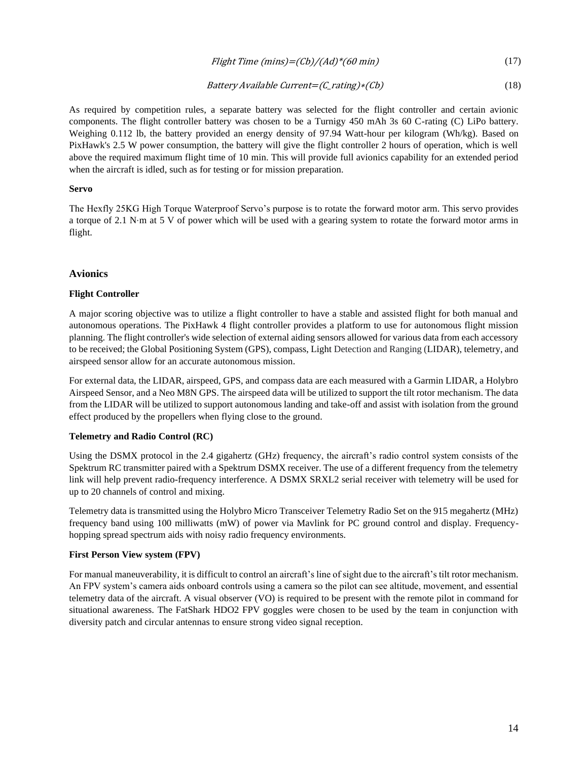## Flight Time  $(mins)=(Cb)/(Ad)*(60 min)$  (17)

#### Battery Available Current=(C\_rating)∗(Cb) (18)

As required by competition rules, a separate battery was selected for the flight controller and certain avionic components. The flight controller battery was chosen to be a Turnigy 450 mAh 3s 60 C-rating (C) LiPo battery. Weighing 0.112 lb, the battery provided an energy density of 97.94 Watt-hour per kilogram (Wh/kg). Based on PixHawk's 2.5 W power consumption, the battery will give the flight controller 2 hours of operation, which is well above the required maximum flight time of 10 min. This will provide full avionics capability for an extended period when the aircraft is idled, such as for testing or for mission preparation.

#### **Servo**

The Hexfly 25KG High Torque Waterproof Servo's purpose is to rotate the forward motor arm. This servo provides a torque of 2.1 N⋅m at 5 V of power which will be used with a gearing system to rotate the forward motor arms in flight.

### **Avionics**

#### **Flight Controller**

A major scoring objective was to utilize a flight controller to have a stable and assisted flight for both manual and autonomous operations. The PixHawk 4 flight controller provides a platform to use for autonomous flight mission planning. The flight controller's wide selection of external aiding sensors allowed for various data from each accessory to be received; the Global Positioning System (GPS), compass, Light Detection and Ranging (LIDAR), telemetry, and airspeed sensor allow for an accurate autonomous mission.

For external data, the LIDAR, airspeed, GPS, and compass data are each measured with a Garmin LIDAR, a Holybro Airspeed Sensor, and a Neo M8N GPS. The airspeed data will be utilized to support the tilt rotor mechanism. The data from the LIDAR will be utilized to support autonomous landing and take-off and assist with isolation from the ground effect produced by the propellers when flying close to the ground.

### **Telemetry and Radio Control (RC)**

Using the DSMX protocol in the 2.4 gigahertz (GHz) frequency, the aircraft's radio control system consists of the Spektrum RC transmitter paired with a Spektrum DSMX receiver. The use of a different frequency from the telemetry link will help prevent radio-frequency interference. A DSMX SRXL2 serial receiver with telemetry will be used for up to 20 channels of control and mixing.

Telemetry data is transmitted using the Holybro Micro Transceiver Telemetry Radio Set on the 915 megahertz (MHz) frequency band using 100 milliwatts (mW) of power via Mavlink for PC ground control and display. Frequencyhopping spread spectrum aids with noisy radio frequency environments.

#### **First Person View system (FPV)**

For manual maneuverability, it is difficult to control an aircraft's line of sight due to the aircraft's tilt rotor mechanism. An FPV system's camera aids onboard controls using a camera so the pilot can see altitude, movement, and essential telemetry data of the aircraft. A visual observer (VO) is required to be present with the remote pilot in command for situational awareness. The FatShark HDO2 FPV goggles were chosen to be used by the team in conjunction with diversity patch and circular antennas to ensure strong video signal reception.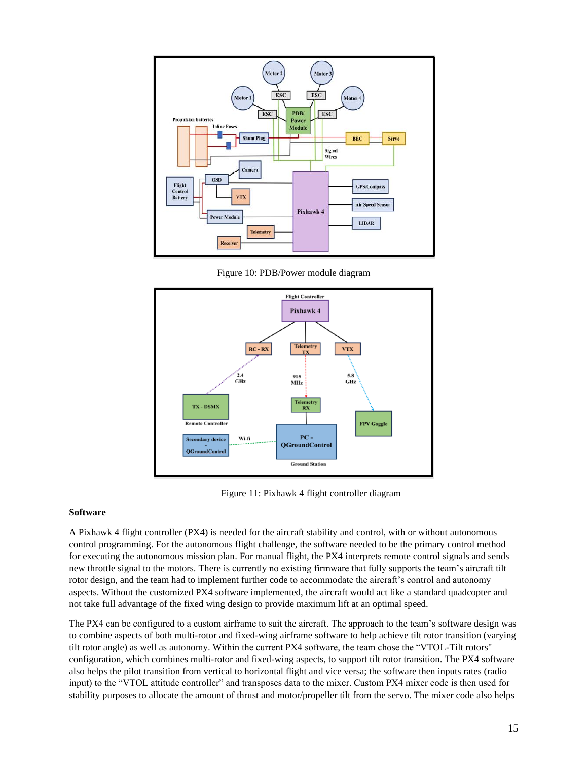

Figure 10: PDB/Power module diagram



Figure 11: Pixhawk 4 flight controller diagram

### **Software**

A Pixhawk 4 flight controller (PX4) is needed for the aircraft stability and control, with or without autonomous control programming. For the autonomous flight challenge, the software needed to be the primary control method for executing the autonomous mission plan. For manual flight, the PX4 interprets remote control signals and sends new throttle signal to the motors. There is currently no existing firmware that fully supports the team's aircraft tilt rotor design, and the team had to implement further code to accommodate the aircraft's control and autonomy aspects. Without the customized PX4 software implemented, the aircraft would act like a standard quadcopter and not take full advantage of the fixed wing design to provide maximum lift at an optimal speed.

The PX4 can be configured to a custom airframe to suit the aircraft. The approach to the team's software design was to combine aspects of both multi-rotor and fixed-wing airframe software to help achieve tilt rotor transition (varying tilt rotor angle) as well as autonomy. Within the current PX4 software, the team chose the "VTOL-Tilt rotors" configuration, which combines multi-rotor and fixed-wing aspects, to support tilt rotor transition. The PX4 software also helps the pilot transition from vertical to horizontal flight and vice versa; the software then inputs rates (radio input) to the "VTOL attitude controller" and transposes data to the mixer. Custom PX4 mixer code is then used for stability purposes to allocate the amount of thrust and motor/propeller tilt from the servo. The mixer code also helps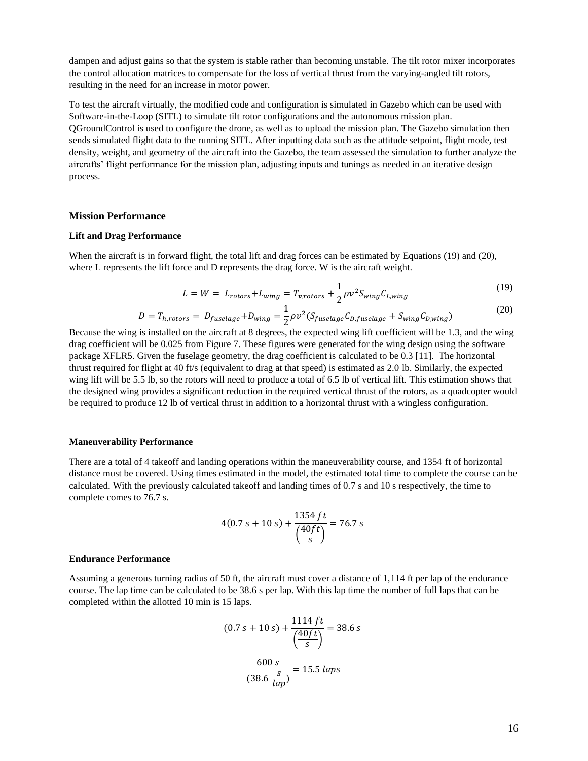dampen and adjust gains so that the system is stable rather than becoming unstable. The tilt rotor mixer incorporates the control allocation matrices to compensate for the loss of vertical thrust from the varying-angled tilt rotors, resulting in the need for an increase in motor power.

To test the aircraft virtually, the modified code and configuration is simulated in Gazebo which can be used with Software-in-the-Loop (SITL) to simulate tilt rotor configurations and the autonomous mission plan. QGroundControl is used to configure the drone, as well as to upload the mission plan. The Gazebo simulation then sends simulated flight data to the running SITL. After inputting data such as the attitude setpoint, flight mode, test density, weight, and geometry of the aircraft into the Gazebo, the team assessed the simulation to further analyze the aircrafts' flight performance for the mission plan, adjusting inputs and tunings as needed in an iterative design process.

#### **Mission Performance**

#### **Lift and Drag Performance**

When the aircraft is in forward flight, the total lift and drag forces can be estimated by Equations (19) and (20), where L represents the lift force and D represents the drag force. W is the aircraft weight.

$$
L = W = L_{rotors} + L_{wing} = T_{v,rotors} + \frac{1}{2} \rho v^2 S_{wing} C_{L,wing}
$$
\n(19)

$$
D = T_{h,rotors} = D_{fuselage} + D_{wing} = \frac{1}{2} \rho v^2 (S_{fuselage} C_{D,fuselage} + S_{wing} C_{D,wing})
$$

Because the wing is installed on the aircraft at 8 degrees, the expected wing lift coefficient will be 1.3, and the wing drag coefficient will be 0.025 from Figure 7. These figures were generated for the wing design using the software package XFLR5. Given the fuselage geometry, the drag coefficient is calculated to be 0.3 [11]. The horizontal thrust required for flight at 40 ft/s (equivalent to drag at that speed) is estimated as 2.0 lb. Similarly, the expected wing lift will be 5.5 lb, so the rotors will need to produce a total of 6.5 lb of vertical lift. This estimation shows that the designed wing provides a significant reduction in the required vertical thrust of the rotors, as a quadcopter would be required to produce 12 lb of vertical thrust in addition to a horizontal thrust with a wingless configuration.

#### **Maneuverability Performance**

There are a total of 4 takeoff and landing operations within the maneuverability course, and 1354 ft of horizontal distance must be covered. Using times estimated in the model, the estimated total time to complete the course can be calculated. With the previously calculated takeoff and landing times of 0.7 s and 10 s respectively, the time to complete comes to 76.7 s.

$$
4(0.7 s + 10 s) + \frac{1354 ft}{\left(\frac{40 ft}{s}\right)} = 76.7 s
$$

#### **Endurance Performance**

Assuming a generous turning radius of 50 ft, the aircraft must cover a distance of 1,114 ft per lap of the endurance course. The lap time can be calculated to be 38.6 s per lap. With this lap time the number of full laps that can be completed within the allotted 10 min is 15 laps.

$$
(0.7 s + 10 s) + \frac{1114 ft}{\left(\frac{40 ft}{s}\right)} = 38.6 s
$$

$$
\frac{600 s}{(38.6 \frac{s}{lap})} = 15.5 \text{ laps}
$$

(20)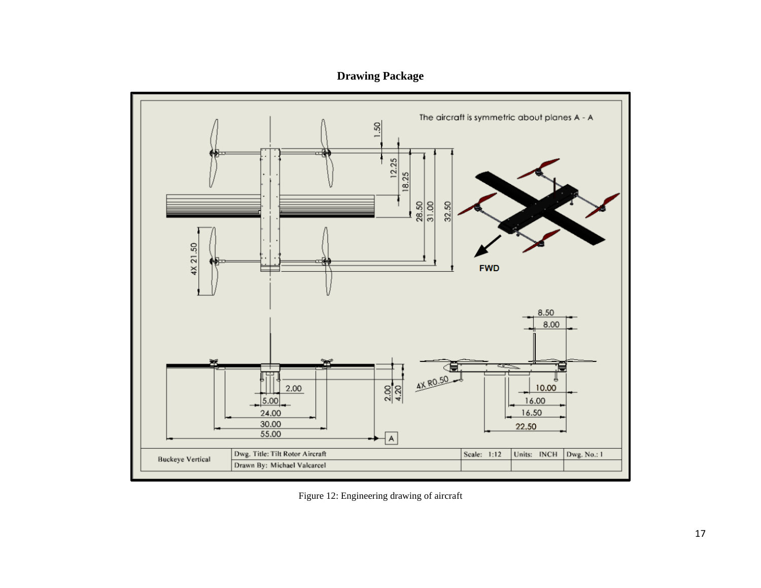**Drawing Package**



Figure 12: Engineering drawing of aircraft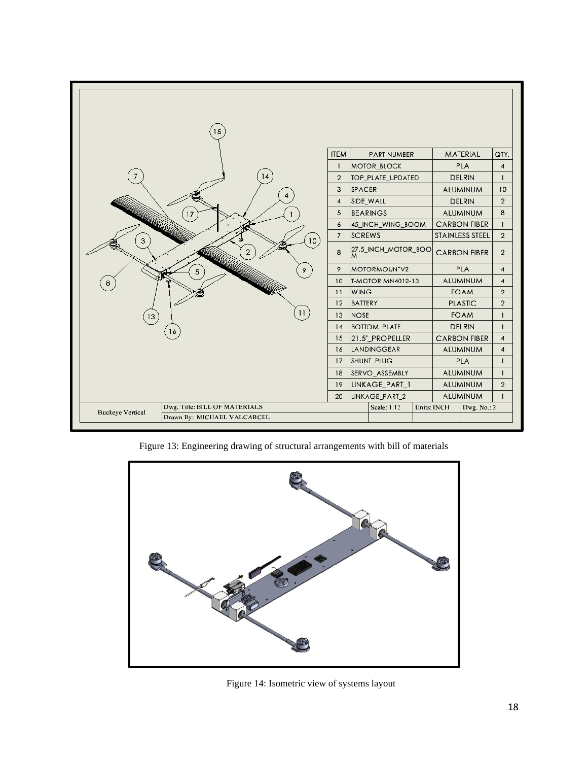|                               | 15                            |               |                                   |                                          |                     |                        |                 |                         |                                |
|-------------------------------|-------------------------------|---------------|-----------------------------------|------------------------------------------|---------------------|------------------------|-----------------|-------------------------|--------------------------------|
|                               |                               |               | <b>ITEM</b>                       |                                          | <b>PART NUMBER</b>  |                        |                 | MATERIAL                | QTY.                           |
|                               |                               |               | $\mathbf{1}$                      | MOTOR_BLOCK                              |                     |                        |                 | <b>PLA</b>              | $\overline{4}$<br>$\mathbf{1}$ |
|                               |                               | 14            | $\overline{2}$                    |                                          | TOP_PLATE_UPDATED   |                        |                 | <b>DELRIN</b>           |                                |
|                               |                               |               | 3                                 | SPACER<br><b>ALUMINUM</b>                |                     |                        |                 | 10                      |                                |
|                               |                               |               | $\pmb{4}$                         | SIDE_WALL                                |                     |                        | <b>DELRIN</b>   |                         | $\overline{2}$                 |
| 17                            |                               |               | 5                                 | <b>BEARINGS</b><br><b>ALUMINUM</b>       |                     |                        |                 | 8                       |                                |
|                               |                               | 6             |                                   | <b>CARBON FIBER</b><br>45_INCH_WING_BOOM |                     |                        |                 | $\mathbf{I}$            |                                |
| 3                             |                               | 10)           | $\overline{7}$                    | <b>SCREWS</b>                            |                     | <b>STAINLESS STEEL</b> |                 | $\overline{2}$          |                                |
|                               |                               | $\mathcal{P}$ | 8                                 |                                          | 27.5_INCH_MOTOR_BOO |                        |                 | <b>CARBON FIBER</b>     | $\overline{2}$                 |
|                               | 5                             | 9             | 9<br>MOTORMOUNTV2                 |                                          |                     | <b>PLA</b>             |                 | $\overline{\mathbf{4}}$ |                                |
| 8                             |                               |               | 10                                | <b>T-MOTOR MN4012-13</b>                 |                     |                        | <b>ALUMINUM</b> |                         | $\overline{4}$                 |
|                               |                               |               | 11                                | <b>WING</b>                              |                     | <b>FOAM</b>            |                 | $\overline{2}$          |                                |
|                               |                               |               | 12                                | BATTERY                                  |                     | <b>PLASTIC</b>         |                 | $\overline{2}$          |                                |
| 11<br>$\left[13\right]$<br>16 |                               |               | 13                                | <b>NOSE</b>                              |                     |                        | <b>FOAM</b>     |                         | L                              |
|                               |                               |               | 14                                | <b>BOTTOM_PLATE</b>                      |                     |                        | <b>DELRIN</b>   |                         | $\mathbf{1}$                   |
|                               |                               |               | 15                                | 21.5"_PROPELLER                          |                     | <b>CARBON FIBER</b>    |                 | 4                       |                                |
|                               |                               |               | 16                                | LANDINGGEAR                              |                     | ALUMINUM               |                 | $\overline{4}$          |                                |
|                               |                               |               | 17                                | SHUNT_PLUG                               |                     | <b>PLA</b>             |                 | $\mathbf{I}$            |                                |
|                               |                               |               | SERVO_ASSEMBLY<br>18              |                                          | <b>ALUMINUM</b>     |                        | $\mathbf{1}$    |                         |                                |
|                               |                               |               | 19                                | LINKAGE_PART_1                           |                     |                        | <b>ALUMINUM</b> |                         | $\overline{2}$                 |
|                               |                               |               | 20                                | LINKAGE_PART_2                           |                     | ALUMINUM               |                 | $\mathbf{1}$            |                                |
| <b>Buckeye Vertical</b>       | Dwg. Title: BILL OF MATERIALS |               | Scale: 1:12<br><b>Units: INCH</b> |                                          |                     | Dwg. No.: 2            |                 |                         |                                |
| Drawn By: MICHAEL VALCARCEL   |                               |               |                                   |                                          |                     |                        |                 |                         |                                |

Figure 13: Engineering drawing of structural arrangements with bill of materials



Figure 14: Isometric view of systems layout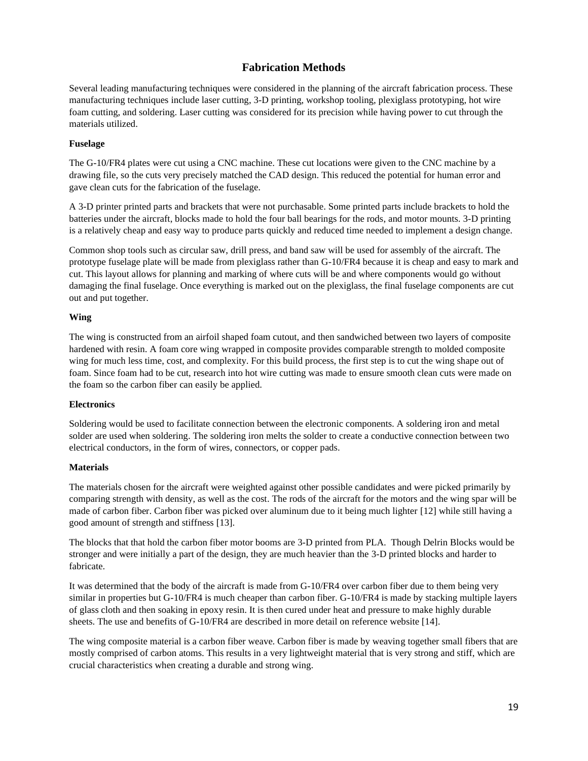# **Fabrication Methods**

Several leading manufacturing techniques were considered in the planning of the aircraft fabrication process. These manufacturing techniques include laser cutting, 3-D printing, workshop tooling, plexiglass prototyping, hot wire foam cutting, and soldering. Laser cutting was considered for its precision while having power to cut through the materials utilized.

## **Fuselage**

The G-10/FR4 plates were cut using a CNC machine. These cut locations were given to the CNC machine by a drawing file, so the cuts very precisely matched the CAD design. This reduced the potential for human error and gave clean cuts for the fabrication of the fuselage.

A 3-D printer printed parts and brackets that were not purchasable. Some printed parts include brackets to hold the batteries under the aircraft, blocks made to hold the four ball bearings for the rods, and motor mounts. 3-D printing is a relatively cheap and easy way to produce parts quickly and reduced time needed to implement a design change.

Common shop tools such as circular saw, drill press, and band saw will be used for assembly of the aircraft. The prototype fuselage plate will be made from plexiglass rather than G-10/FR4 because it is cheap and easy to mark and cut. This layout allows for planning and marking of where cuts will be and where components would go without damaging the final fuselage. Once everything is marked out on the plexiglass, the final fuselage components are cut out and put together.

## **Wing**

The wing is constructed from an airfoil shaped foam cutout, and then sandwiched between two layers of composite hardened with resin. A foam core wing wrapped in composite provides comparable strength to molded composite wing for much less time, cost, and complexity. For this build process, the first step is to cut the wing shape out of foam. Since foam had to be cut, research into hot wire cutting was made to ensure smooth clean cuts were made on the foam so the carbon fiber can easily be applied.

# **Electronics**

Soldering would be used to facilitate connection between the electronic components. A soldering iron and metal solder are used when soldering. The soldering iron melts the solder to create a conductive connection between two electrical conductors, in the form of wires, connectors, or copper pads.

# **Materials**

The materials chosen for the aircraft were weighted against other possible candidates and were picked primarily by comparing strength with density, as well as the cost. The rods of the aircraft for the motors and the wing spar will be made of carbon fiber. Carbon fiber was picked over aluminum due to it being much lighter [12] while still having a good amount of strength and stiffness [13].

The blocks that that hold the carbon fiber motor booms are 3-D printed from PLA. Though Delrin Blocks would be stronger and were initially a part of the design, they are much heavier than the 3-D printed blocks and harder to fabricate.

It was determined that the body of the aircraft is made from G-10/FR4 over carbon fiber due to them being very similar in properties but G-10/FR4 is much cheaper than carbon fiber. G-10/FR4 is made by stacking multiple layers of glass cloth and then soaking in epoxy resin. It is then cured under heat and pressure to make highly durable sheets. The use and benefits of G-10/FR4 are described in more detail on reference website [14].

The wing composite material is a carbon fiber weave. Carbon fiber is made by weaving together small fibers that are mostly comprised of carbon atoms. This results in a very lightweight material that is very strong and stiff, which are crucial characteristics when creating a durable and strong wing.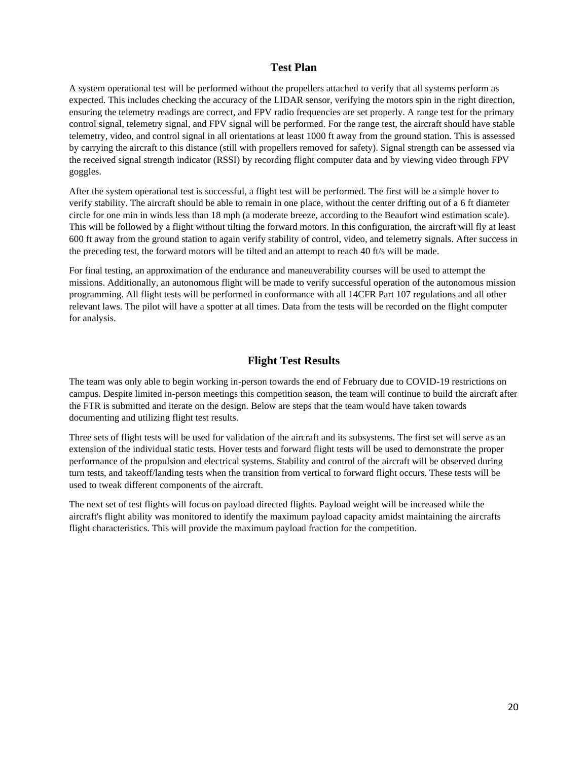## **Test Plan**

A system operational test will be performed without the propellers attached to verify that all systems perform as expected. This includes checking the accuracy of the LIDAR sensor, verifying the motors spin in the right direction, ensuring the telemetry readings are correct, and FPV radio frequencies are set properly. A range test for the primary control signal, telemetry signal, and FPV signal will be performed. For the range test, the aircraft should have stable telemetry, video, and control signal in all orientations at least 1000 ft away from the ground station. This is assessed by carrying the aircraft to this distance (still with propellers removed for safety). Signal strength can be assessed via the received signal strength indicator (RSSI) by recording flight computer data and by viewing video through FPV goggles.

After the system operational test is successful, a flight test will be performed. The first will be a simple hover to verify stability. The aircraft should be able to remain in one place, without the center drifting out of a 6 ft diameter circle for one min in winds less than 18 mph (a moderate breeze, according to the Beaufort wind estimation scale). This will be followed by a flight without tilting the forward motors. In this configuration, the aircraft will fly at least 600 ft away from the ground station to again verify stability of control, video, and telemetry signals. After success in the preceding test, the forward motors will be tilted and an attempt to reach 40 ft/s will be made.

For final testing, an approximation of the endurance and maneuverability courses will be used to attempt the missions. Additionally, an autonomous flight will be made to verify successful operation of the autonomous mission programming. All flight tests will be performed in conformance with all 14CFR Part 107 regulations and all other relevant laws. The pilot will have a spotter at all times. Data from the tests will be recorded on the flight computer for analysis.

# **Flight Test Results**

The team was only able to begin working in-person towards the end of February due to COVID-19 restrictions on campus. Despite limited in-person meetings this competition season, the team will continue to build the aircraft after the FTR is submitted and iterate on the design. Below are steps that the team would have taken towards documenting and utilizing flight test results.

Three sets of flight tests will be used for validation of the aircraft and its subsystems. The first set will serve as an extension of the individual static tests. Hover tests and forward flight tests will be used to demonstrate the proper performance of the propulsion and electrical systems. Stability and control of the aircraft will be observed during turn tests, and takeoff/landing tests when the transition from vertical to forward flight occurs. These tests will be used to tweak different components of the aircraft.

The next set of test flights will focus on payload directed flights. Payload weight will be increased while the aircraft's flight ability was monitored to identify the maximum payload capacity amidst maintaining the aircrafts flight characteristics. This will provide the maximum payload fraction for the competition.